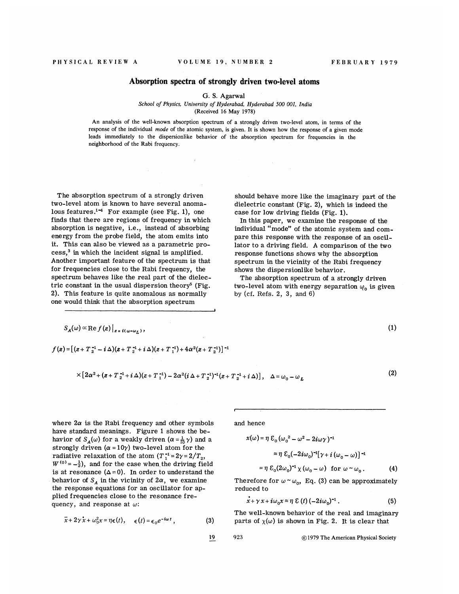## Absorption spectra of strongly driven two-level atoms

G. S. Agarwal

School of Physics, University of Hyderabad, Hyderabad 500 001, India (Received 16 May 1978)

An analysis of the well-known absorption spectrum of a strongly driven two-level atom, in terms of the response of the individual mode of the atomic system, is given. It is shown how the response of a given mode leads immediately to the dispersionlike behavior of the absorption spectrum for frequencies in the neighborhood of the Rabi frequency.

The absorption spectrum of a strongly driven two-level atom is known to have several anomalous features.<sup>1-4</sup> For example (see Fig. 1), one finds that there are regions of frequency in which absorption is negative, i.e., instead of absorbin energy from the probe field, the atom emits into it. This can also be viewed as a parametric process,<sup>3</sup> in which the incident signal is amplified. Another important feature of the spectrum is that for frequencies close to the Rabi frequency, the spectrum behaves like the real part of the dielectric constant in the usual dispersion theory' (Fig. 2). This feature is quite anomalous as normally one would think that the absorption spectrum

ia.

should behave more like the imaginary part of the dielectric constant (Fig. 2), which is indeed the case for low driving fields (Fig. 1).

In this paper, we examine the response of the individual "mode" of the atomic system and compare this response with the response of an oscillator to a driving field. <sup>A</sup> comparison of the two response functions shows why the absorption spectrum in the vicinity of the Rabi frequency shows the dispersionlike behavior.

The absorption spectrum of a strongly driven two-level atom with energy separation  $\varphi_0$  is given by (cf. Refs. 2, 3, and 6)

$$
S_A(\omega) \propto \text{Re } f(z) \big|_{z = i(\omega - \omega_L)},
$$
 (1)

$$
f(z) = [(z+T_2^{-1} - i \Delta)(z+T_2^{-1} + i \Delta)(z+T_1^{-1}) + 4\alpha^2(z+T_2^{-1})]^{-1}
$$

$$
\times \left[2\alpha^2 + (z + T_2^{-1} + i\Delta)(z + T_1^{-1}) - 2\alpha^2(i\Delta + T_2^{-1})^{-1}(z + T_2^{-1} + i\Delta)\right], \quad \Delta = \omega_0 - \omega_L
$$
 (2)

where  $2\alpha$  is the Rabi frequency and other symbols have standard meanings. Figure 1 shows the behavior of  $S_A(\omega)$  for a weakly driven  $(\alpha = \frac{1}{10} \gamma)$  and a strongly driven ( $\alpha = 10\gamma$ ) two-level atom for the radiative relaxation of the atom  $(T_1^{-1}=2\gamma=2/T_2)$ ,  $W^{(0)} = -\frac{1}{2}$ , and for the case when the driving field is at resonance  $(\Delta=0)$ . In order to understand the behavior of  $S_A$  in the vicinity of  $2\alpha$ , we examine the response equations for an oscillator for applied frequencies close to the resonance frequency, and response at  $\omega$ :

$$
\ddot{x} + 2\gamma \dot{x} + \omega_0^2 x = \eta \epsilon(t), \quad \epsilon(t) = \epsilon_0 e^{-i\omega t}, \tag{3}
$$

and hence  

$$
x(\omega) = \eta \, \mathcal{E}_{0} (\omega_0^2 - \omega^2 - 2i\omega \gamma)^{-1}
$$

$$
\approx \eta \, \mathcal{E}_0(-2i\omega_0)^{-1} [\gamma + i(\omega_0 - \omega)]^{-1}
$$

$$
= \eta \, \mathcal{E}_0(2\omega_0)^{-1} \chi(\omega_0 - \omega) \quad \text{for } \omega \sim \omega_0. \tag{4}
$$

Therefore for  $\omega \sim \omega_0$ , Eq. (3) can be approximately reduced to

$$
\dot{x} + \gamma x + i\omega_0 x \approx \eta \ \mathcal{E}(t) \left(-2i\omega_0\right)^{-1}.\tag{5}
$$

The well-known behavior of the real and imaginary parts of  $\chi(\omega)$  is shown in Fig. 2. It is clear that

19 923 01979 The American Physical Society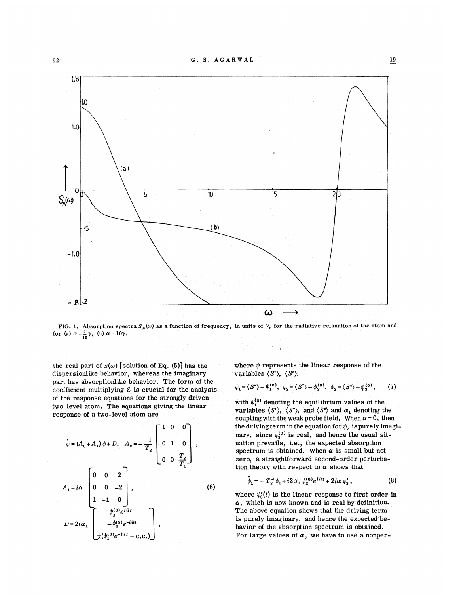

FIG. 1. Absorption spectra  $S_A(\omega)$  as a function of frequency, in units of  $\gamma$ , for the radiative relaxation of the atom and for (a)  $\alpha = \frac{1}{10}\gamma$ , (b)  $\alpha = 10\gamma$ .

the real part of  $x(\omega)$  [solution of Eq. (5)] has the dispersionlike behavior, whereas the imaginary part has absorptionlike behavior. The form of the coefficient multiplying  $\epsilon$  is crucial for the analysis of the response equations for the strongly driven two-level atom. The equations giving the linear response of a two-level atom are

$$
\dot{\psi} = (A_0 + A_1) \psi + D, \quad A_0 = -\frac{1}{T_2} \begin{bmatrix} 1 & 0 & 0 \\ 0 & 1 & 0 \\ 0 & 0 & \frac{T_2}{T_1} \end{bmatrix},
$$
  
\n
$$
A_1 = i\alpha \begin{bmatrix} 0 & 0 & 2 \\ 0 & 0 & -2 \\ 1 & -1 & 0 \\ 1 & -1 & 0 \end{bmatrix},
$$
  
\n
$$
D = 2i\alpha_1 \begin{bmatrix} \psi_3^{(0)}e^{-i\Omega t} \\ -\psi_3^{(0)}e^{-i\Omega t} \\ \frac{1}{2}(\psi_1^{(0)}e^{-i\Omega t} - c.c.) \end{bmatrix},
$$
  
\n(6)

where  $\psi$  represents the linear response of the variables  $\langle S^* \rangle$ ,  $\langle S^* \rangle$ :

$$
\psi_1 = \langle S^* \rangle - \psi_1^{(0)}, \quad \psi_2 = \langle S^- \rangle - \psi_2^{(0)}, \quad \psi_3 = \langle S^* \rangle - \psi_3^{(0)}, \tag{7}
$$

with  $\psi_1^{(0)}$  denoting the equilibrium values of the variables  $\langle S^* \rangle$ ,  $\langle S^- \rangle$ , and  $\langle S^* \rangle$  and  $\alpha_1$  denoting the coupling with the weak probe field. When  $\alpha = 0$ , then the driving term in the equation for  $\psi$ , is purely imaginary, since  $\psi_3^{(0)}$  is real, and hence the usual situation prevails, i.e., the expected absorptio spectrum is obtained. When  $\alpha$  is small but not zero, a straightforward second-order perturbation theory with respect to  $\alpha$  shows that

$$
\dot{\psi}_1 = - T_2^{-1} \psi_1 + i 2 \alpha_1 \psi_3^{(0)} e^{i \Omega t} + 2i \alpha \psi_3', \qquad (8)
$$

where  $\psi_3'(t)$  is the linear response to first order in  $\alpha$ , which is now known and is real by definition. The above equation shows that the driving term is purely imaginary, and hence the expected behavior of the absorption spectrum is obtained. For large values of  $\alpha$ , we have to use a nonper-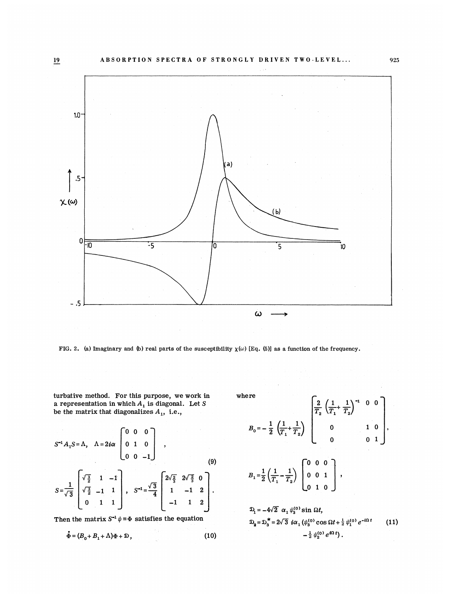

FIG. 2. (a) Imaginary and (b) real parts of the susceptibility  $\chi(\omega)$  [Eq. (5)] as a function of the frequency.

turbative method. For this purpose, we work in a representation in which  $A_1$  is diagonal. Let S<br>be the matrix that diagonalizes  $A_1$ , i.e.,

$$
S^{-1}A_1S = \Lambda, \quad \Lambda = 2i\alpha \begin{bmatrix} 0 & 0 & 0 \\ 0 & 1 & 0 \\ 0 & 0 & -1 \end{bmatrix},
$$
  
\n
$$
S = \frac{1}{\sqrt{3}} \begin{bmatrix} \sqrt{\frac{3}{2}} & 1 & -1 \\ \sqrt{\frac{3}{2}} & -1 & 1 \\ 0 & 1 & 1 \end{bmatrix}, \quad S^{-1} = \frac{\sqrt{3}}{4} \begin{bmatrix} 2\sqrt{\frac{2}{3}} & 2\sqrt{\frac{2}{3}} & 0 \\ 1 & -1 & 2 \\ -1 & 1 & 2 \end{bmatrix}.
$$
  
\n(9)

Then the matrix  $S^{-1} \psi = \Phi$  satisfies the equation

$$
\dot{\Phi} = (B_0 + B_1 + \Lambda)\Phi + \mathfrak{D},\tag{10}
$$

where

re  

$$
B_0 = -\frac{1}{2} \left( \frac{1}{T_1} + \frac{1}{T_2} \right) \begin{bmatrix} \frac{2}{T_2} \left( \frac{1}{T_1} + \frac{1}{T_2} \right)^{-1} & 0 & 0 \\ 0 & 1 & 0 \\ 0 & 0 & 1 \end{bmatrix},
$$

$$
B_1 = \frac{1}{2} \left( \frac{1}{T_1} + \frac{1}{T_2} \right) \begin{bmatrix} 0 & 0 & 0 \\ 0 & 0 & 1 \\ 0 & 1 & 0 \end{bmatrix} ,
$$

$$
\mathfrak{D}_{1} = -4\sqrt{2} \ \alpha_{1} \psi_{3}^{(0)} \sin \Omega t, \n\mathfrak{D}_{2} = \mathfrak{D}_{3}^{*} = 2\sqrt{3} \ i\alpha_{1} (\psi_{3}^{(0)} \cos \Omega t + \frac{1}{2} \psi_{1}^{(0)} e^{-i\Omega t})
$$
\n
$$
= \frac{1}{2} \psi_{3}^{(0)} e^{i\Omega t},
$$
\n(11)